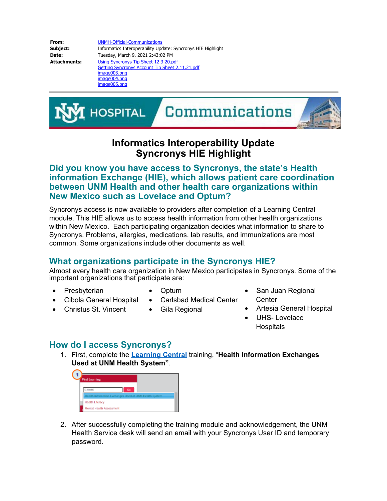**From:** [UNMH-Official-Communications](mailto:UNMH-Official-Communications@salud.unm.edu) **Subject:** Informatics Interoperability Update: Syncronys HIE Highlight **Date:** Tuesday, March 9, 2021 2:43:02 PM **Attachments:** Using Syncronys Tip Sheet 12.3.20.pdf Getting Syncronys Account Tip Sheet 2.11.21.pdf image003.png image004.png image005.png



## **Informatics Interoperability Update Syncronys HIE Highlight**

## **Did you know you have access to Syncronys, the state's Health information Exchange (HIE), which allows patient care coordination between UNM Health and other health care organizations within New Mexico such as Lovelace and Optum?**

Syncronys access is now available to providers after completion of a Learning Central module. This HIE allows us to access health information from other health organizations within New Mexico. Each participating organization decides what information to share to Syncronys. Problems, allergies, medications, lab results, and immunizations are most common. Some organizations include other documents as well.

## **What organizations participate in the Syncronys HIE?**

Almost every health care organization in New Mexico participates in Syncronys. Some of the important organizations that participate are:

- **Presbyterian**
- · Optum
- Cibola General Hospital
- Carlsbad Medical Center

Gila Regional

Christus St. Vincent

- San Juan Regional **Center**
- Artesia General Hospital
- · UHS- Lovelace **Hospitals**

## **How do I access Syncronys?**

1. First, complete the **[Learning Central](https://learningcentral.unm.edu/)** training, "**Health Information Exchanges Used at UNM Health System"**.



2. After successfully completing the training module and acknowledgement, the UNM Health Service desk will send an email with your Syncronys User ID and temporary password.